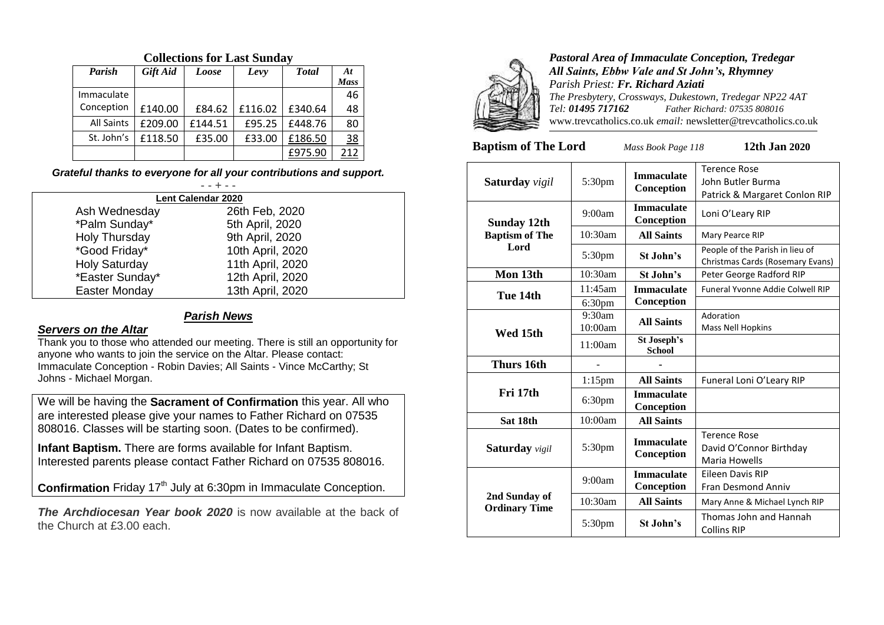| Parish            | <b>Gift Aid</b> | Loose   | Levy    | <b>T</b> otal | At          |
|-------------------|-----------------|---------|---------|---------------|-------------|
|                   |                 |         |         |               | <b>Mass</b> |
| Immaculate        |                 |         |         |               | 46          |
| Conception        | £140.00         | £84.62  | £116.02 | £340.64       | 48          |
| <b>All Saints</b> | £209.00         | £144.51 | £95.25  | £448.76       | 80          |
| St. John's        | £118.50         | £35.00  | £33.00  | £186.50       | <u>38</u>   |
|                   |                 |         |         | £975.90       | 212         |

# **Collections for Last Sunday**

### *Grateful thanks to everyone for all your contributions and support.*

| Lent Calendar 2020   |                  |  |  |
|----------------------|------------------|--|--|
| Ash Wednesday        | 26th Feb, 2020   |  |  |
| *Palm Sunday*        | 5th April, 2020  |  |  |
| Holy Thursday        | 9th April, 2020  |  |  |
| *Good Friday*        | 10th April, 2020 |  |  |
| <b>Holy Saturday</b> | 11th April, 2020 |  |  |
| *Easter Sunday*      | 12th April, 2020 |  |  |
| Easter Monday        | 13th April, 2020 |  |  |

#### *Parish News*

#### *Servers on the Altar*

Thank you to those who attended our meeting. There is still an opportunity for anyone who wants to join the service on the Altar. Please contact: Immaculate Conception - Robin Davies; All Saints - Vince McCarthy; St Johns - Michael Morgan.

We will be having the **Sacrament of Confirmation** this year. All who are interested please give your names to Father Richard on 07535 808016. Classes will be starting soon. (Dates to be confirmed).

**Infant Baptism.** There are forms available for Infant Baptism. Interested parents please contact Father Richard on 07535 808016.

Confirmation Friday 17<sup>th</sup> July at 6:30pm in Immaculate Conception.

**The Archdiocesan Year book 2020** is now available at the back of the Church at £3.00 each.



*Pastoral Area of Immaculate Conception, Tredegar All Saints, Ebbw Vale and St John's, Rhymney Parish Priest: Fr. Richard Aziati The Presbytery, Crossways, Dukestown, Tredegar NP22 4AT Tel: 01495 717162 Father Richard: 07535 808016* www.trevcatholics.co.uk *email:* newsletter@trevcatholics.co.uk

**Baptism of The Lord** *Mass Book Page 118* **12th Jan 2020**

| <b>Saturday</b> vigil | 5:30pm               | <b>Immaculate</b><br>Conception | <b>Terence Rose</b><br>John Butler Burma<br>Patrick & Margaret Conlon RIP |
|-----------------------|----------------------|---------------------------------|---------------------------------------------------------------------------|
| <b>Sunday 12th</b>    | 9:00am               | <b>Immaculate</b><br>Conception | Loni O'Leary RIP                                                          |
| <b>Baptism of The</b> | $10:30$ am           | <b>All Saints</b>               | Mary Pearce RIP                                                           |
| Lord                  | 5:30pm               | St John's                       | People of the Parish in lieu of<br>Christmas Cards (Rosemary Evans)       |
| Mon 13th              | $10:30$ am           | St John's                       | Peter George Radford RIP                                                  |
| Tue 14th              | 11:45am              | <b>Immaculate</b>               | Funeral Yvonne Addie Colwell RIP                                          |
|                       | 6:30 <sub>pm</sub>   | Conception                      |                                                                           |
|                       | $9:30$ am<br>10:00am | <b>All Saints</b>               | Adoration<br><b>Mass Nell Hopkins</b>                                     |
| Wed 15th              | 11:00am              | St Joseph's<br><b>School</b>    |                                                                           |
| Thurs 16th            |                      |                                 |                                                                           |
|                       | $1:15$ pm            | <b>All Saints</b>               | Funeral Loni O'Leary RIP                                                  |
| Fri 17th              | 6:30 <sub>pm</sub>   | <b>Immaculate</b><br>Conception |                                                                           |
| Sat 18th              | 10:00am              | <b>All Saints</b>               |                                                                           |
| <b>Saturday</b> vigil | 5:30pm               | <b>Immaculate</b><br>Conception | <b>Terence Rose</b><br>David O'Connor Birthday<br>Maria Howells           |
|                       | 9:00am               | <b>Immaculate</b><br>Conception | <b>Eileen Davis RIP</b><br><b>Fran Desmond Anniv</b>                      |
| 2nd Sunday of         | 10:30am              | <b>All Saints</b>               | Mary Anne & Michael Lynch RIP                                             |
| <b>Ordinary Time</b>  | 5:30pm               | St John's                       | Thomas John and Hannah<br><b>Collins RIP</b>                              |